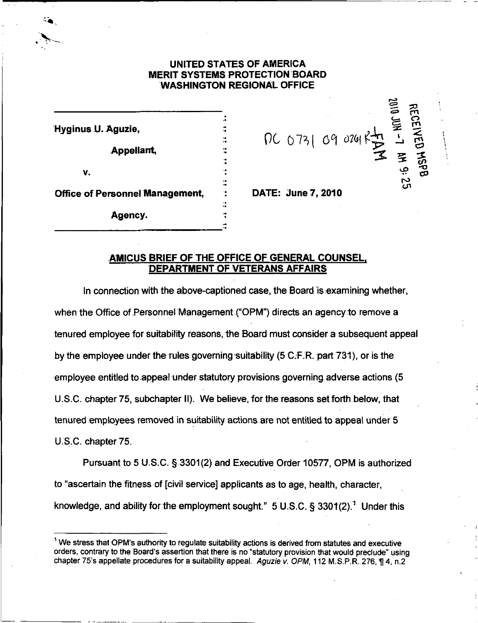## UNITED STATES OF AMERICA MERIT SYSTEMS PROTECTION BOARD WASHINGTON REGIONAL OFFICE

| Hyginus U. Aguzie,                     |  |
|----------------------------------------|--|
| Appellant,                             |  |
| v.                                     |  |
| <b>Office of Personnel Management,</b> |  |
| Agency.                                |  |

DATE: June 7, 2010

PC 0731 09 0241【】 - 酉

宝<br>-

 $\mathfrak{a}$ 

s<br>Ba

#### AMICUS BRIEF OF THE OFFICE OF GENERAL COUNSEL. DEPARTMENT OF VETERANS AFFAIRS

In connection with the above-captioned case, the Board is examining whether, when the Office of Personnel Management ("OPM") directs an agency to remove a tenured employee for suitability reasons, the Board must consider a subsequent appeal by the employee under the rules governing suitability (5 C.F.R. part 731), or is the employee entitled to appeal under statutory provisions governing adverse actions (5 U.S.C. chapter 75, subchapter II). We believe, for the reasons setforth below, that tenured employees removed in suitability actions are not entitled to appeal under 5 U.S.C. chapter 75.

Pursuant to 5 U.S.C. § 3301(2) and Executive Order 10577, OPM is authorized to "ascertain the fitness of [civil service] applicants as to age, health, character, knowledge, and ability for the employment sought."  $5$  U.S.C.  $\S$  3301(2).<sup>1</sup> Under this

<sup>&</sup>lt;sup>1</sup> We stress that OPM's authority to regulate suitability actions is derived from statutes and executive orders, contrary to the Board's assertion that there is no "statutory provision that would preclude" using chapter 75's appellate procedures for a suitability appeal. Aguzie v. OPM, 112 M.S.P.R. 276, ¶ 4, n.2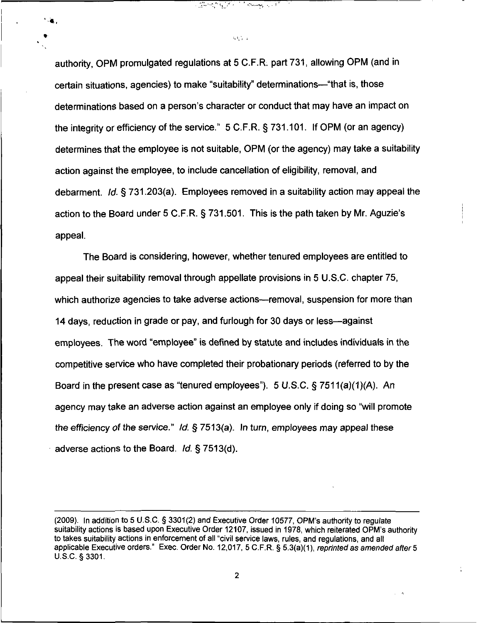authority, OPM promulgated regulations at 5 C.F.R. part 731, allowing OPM (and in certain situations, agencies) to make "suitability" determinations—"that is, those determinations based on a person's character or conduct that may have an impact on the integrity or efficiency of the service." 5 C.F.R. §731.101. If OPM (or an agency) determines that the employee is not suitable, OPM (or the agency) may take a suitability action against the employee, to include cancellation of eligibility, removal, and debarment. Id. § 731.203(a). Employees removed in a suitability action may appeal the action to the Board under 5 C.F.R. § 731.501. This is the path taken by Mr. Aguzie's appeal.

المستجد والمستحاث المتحركة المحافظين

 $\mathcal{O}(\mathcal{O}_{\mathcal{A}})$  .

The Board is considering, however, whether tenured employees are entitled to appeal their suitability removal through appellate provisions in 5 U.S.C. chapter 75, which authorize agencies to take adverse actions—removal, suspension for more than 14 days, reduction in grade or pay, and furlough for 30 days or less—against employees. The word "employee" is defined by statute and includes individuals in the competitive service who have completed their probationary periods (referred to by the Board in the present case as "tenured employees"). 5 U.S.C. § 7511(a)(1)(A). An agency may take an adverse action against an employee only if doing so "will promote the efficiency of the service." Id.  $\S$  7513(a). In turn, employees may appeal these adverse actions to the Board. Id. § 7513(d).

<sup>(2009).</sup> In addition to 5 U.S.C. § 3301(2) and Executive Order 10577, OPM's authority to regulate suitability actions is based upon Executive Order 12107, issued in 1978, which reiterated OPM's authority to takes suitability actions in enforcement of all "civil service laws, rules, and regulations, and all applicable Executive orders." Exec. Order No. 12,017, 5 C.F.R. § 5.3(a)(1), reprinted as amended after 5 U.S.C. §3301.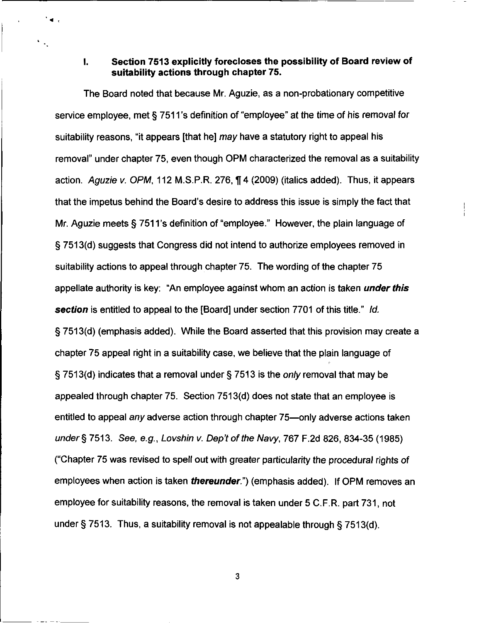## I. Section 7513 explicitly forecloses the possibility of Board review of suitability actions through chapter 75.

The Board noted that because Mr. Aguzie, as a non-probationary competitive service employee, met § 7511 's definition of "employee" at the time of his removal for suitability reasons, "it appears [that he] may have a statutory right to appeal his removal" under chapter 75, even though OPM characterized the removal as a suitability action. Aguzie v. OPM, 112 M.S.P.R. 276, H 4 (2009) (italics added). Thus, it appears that the impetus behind the Board's desire to address this issue is simply the fact that Mr. Aguzie meets § 7511's definition of "employee." However, the plain language of § 7513(d) suggests that Congress did not intend to authorize employees removed in suitability actions to appeal through chapter 75. The wording of the chapter 75 appellate authority is key: "An employee against whom an action is taken *under this* section is entitled to appeal to the [Board] under section 7701 of this title." Id. § 7513(d) (emphasis added). While the Board asserted that this provision may create a chapter 75 appeal right in a suitability case, we believe that the plain language of § 7513(d) indicates that a removal under § 7513 is the only removal that may be appealed through chapter 75. Section 7513(d) does not state that an employee is entitled to appeal any adverse action through chapter 75—only adverse actions taken under § 7513. See, e.g., Lovshin v. Dep't of the Navy, 767 F.2d 826, 834-35 (1985) ("Chapter 75 was revised to spell out with greater particularity the procedural rights of employees when action is taken *thereunder*.") (emphasis added). If OPM removes an employee for suitability reasons, the removal is taken under 5 C.F.R. part 731, not under § 7513. Thus, a suitability removal is not appealable through § 7513(d).

3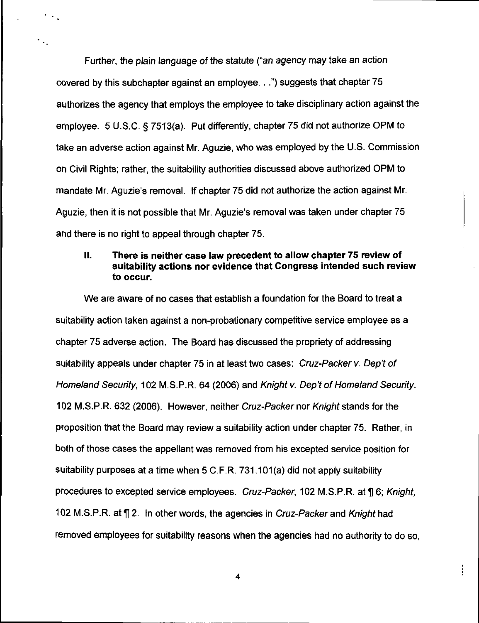Further, the plain language of the statute ("an agency may take an action covered by this subchapter against an employee...") suggests that chapter 75 authorizes the agency that employs the employee to take disciplinary action against the employee. 5 U.S.C. § 7513(a). Put differently, chapter 75 did not authorize OPM to take an adverse action against Mr. Aguzie, who was employed by the U.S. Commission on Civil Rights; rather, the suitability authorities discussed above authorized OPM to mandate Mr. Aguzie's removal. If chapter 75 did not authorize the action against Mr. Aguzie, then it is not possible that Mr. Aguzie's removal was taken under chapter 75 and there is no right to appeal through chapter 75.

# II. There is neither case law precedent to allow chapter 75 review of suitability actions nor evidence that Congress intended such review to occur.

We are aware of no cases that establish a foundation for the Board to treat a suitability action taken against a non-probationary competitive service employee as a chapter 75 adverse action. The Board has discussed the propriety of addressing suitability appeals under chapter 75 in at least two cases: Cruz-Packer v. Dep't of Homeland Security, 102 M.S.P.R. 64 (2006) and Knight v. Dep't of Homeland Security, 102 M.S.P.R. 632 (2006). However, neither Cruz-Packer nor Knight stands for the proposition that the Board may review a suitability action under chapter 75. Rather, in both of those cases the appellant was removed from his excepted service position for suitability purposes at a time when 5 C.F.R. 731.101(a) did not apply suitability procedures to excepted service employees. Cruz-Packer, 102 M.S.P.R. at ¶ 6; Knight, 102 M.S.P.R. at  $\P$  2. In other words, the agencies in Cruz-Packer and Knight had removed employees for suitability reasons when the agencies had no authority to do so,

 $\overline{\mathbf{4}}$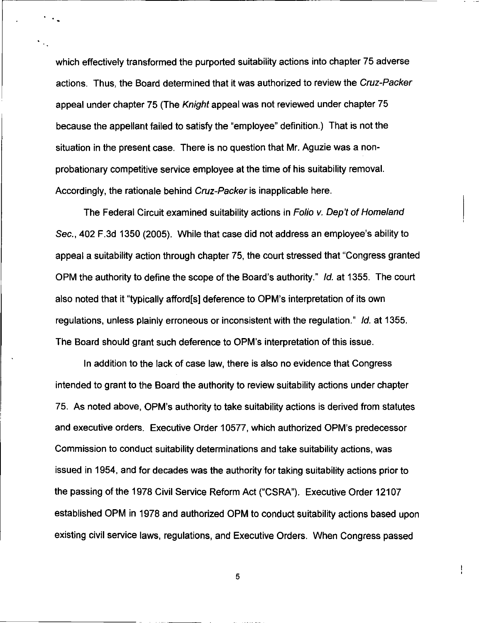which effectively transformed the purported suitability actions into chapter 75 adverse actions. Thus, the Board determined that it was authorized to review the Cruz-Packer appeal under chapter 75 (The Knight appeal was not reviewed under chapter 75 because the appellant failed to satisfy the "employee" definition.) That is not the situation in the present case. There is no question that Mr. Aguzie was a nonprobationary competitive service employee at the time of his suitability removal. Accordingly, the rationale behind Cruz-Packer is inapplicable here.

The Federal Circuit examined suitability actions in Folio v. Dep't of Homeland Sec., 402 F.3d 1350 (2005). While that case did not address an employee's ability to appeal a suitability action through chapter 75, the court stressed that "Congress granted OPM the authority to define the scope of the Board's authority." Id. at 1355. The court also noted that it "typically afford[s] deference to OPM's interpretation of its own regulations, unless plainly erroneous or inconsistent with the regulation." Id. at 1355. The Board should grant such deference to OPM's interpretation of this issue.

In addition to the lack of case law, there is also no evidence that Congress intended to grant to the Board the authority to review suitability actions under chapter 75. As noted above, OPM's authority to take suitability actions is derived from statutes and executive orders. Executive Order 10577, which authorized OPM's predecessor Commission to conduct suitability determinations and take suitability actions, was issued in 1954, and for decades was the authority for taking suitability actions prior to the passing of the 1978 Civil Service Reform Act ("CSRA"). Executive Order 12107 established OPM in 1978 and authorized OPM to conduct suitability actions based upon existing civil service laws, regulations, and Executive Orders. When Congress passed

5

ŧ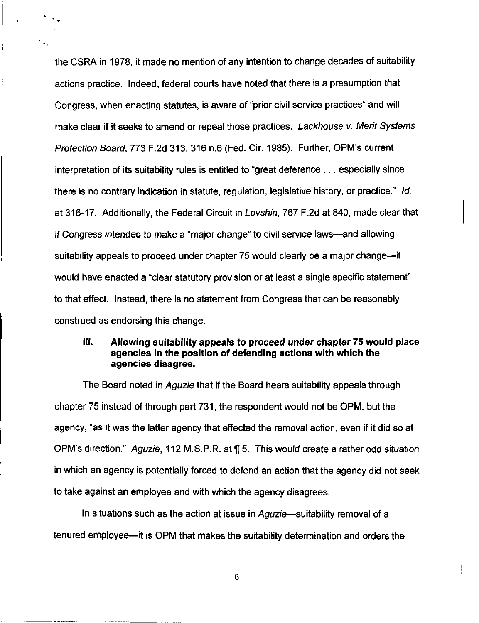the CSRA in 1978, it made no mention of any intention to change decades of suitability actions practice. Indeed, federal courts have noted that there is a presumption that Congress, when enacting statutes, is aware of "prior civil service practices" and will make clear if it seeks to amend or repeal those practices. Lackhouse v. Merit Systems Protection Board, 773 F.2d 313, 316 n.6 (Fed. Cir. 1985). Further, OPM's current interpretation of its suitability rules is entitled to "great deference ... especially since there is no contrary indication in statute, regulation, legislative history, or practice." Id. at 316-17. Additionally, the Federal Circuit in Lovshin, 767 F.2d at 840, made clear that if Congress intended to make a "major change" to civil service laws—and allowing suitability appeals to proceed under chapter 75 would clearly be a major change—it would have enacted a "clear statutory provision or at least a single specific statement" to that effect. Instead, there is no statement from Congress that can be reasonably construed as endorsing this change.

## III. Allowing suitability appeals to proceed under chapter 75 would place agencies in the position of defending actions with which the agencies disagree.

The Board noted in *Aguzie* that if the Board hears suitability appeals through chapter 75 instead of through part 731, the respondent would not be OPM, but the agency, "as it was the latter agency that effected the removal action, even if it did so at OPM's direction." Aguzie, 112 M.S.P.R. at fl 5. This would create a rather odd situation in which an agency is potentially forced to defend an action that the agency did not seek to take against an employee and with which the agency disagrees.

In situations such as the action at issue in Aguzie—suitability removal of a tenured employee—it is OPM that makes the suitability determination and orders the